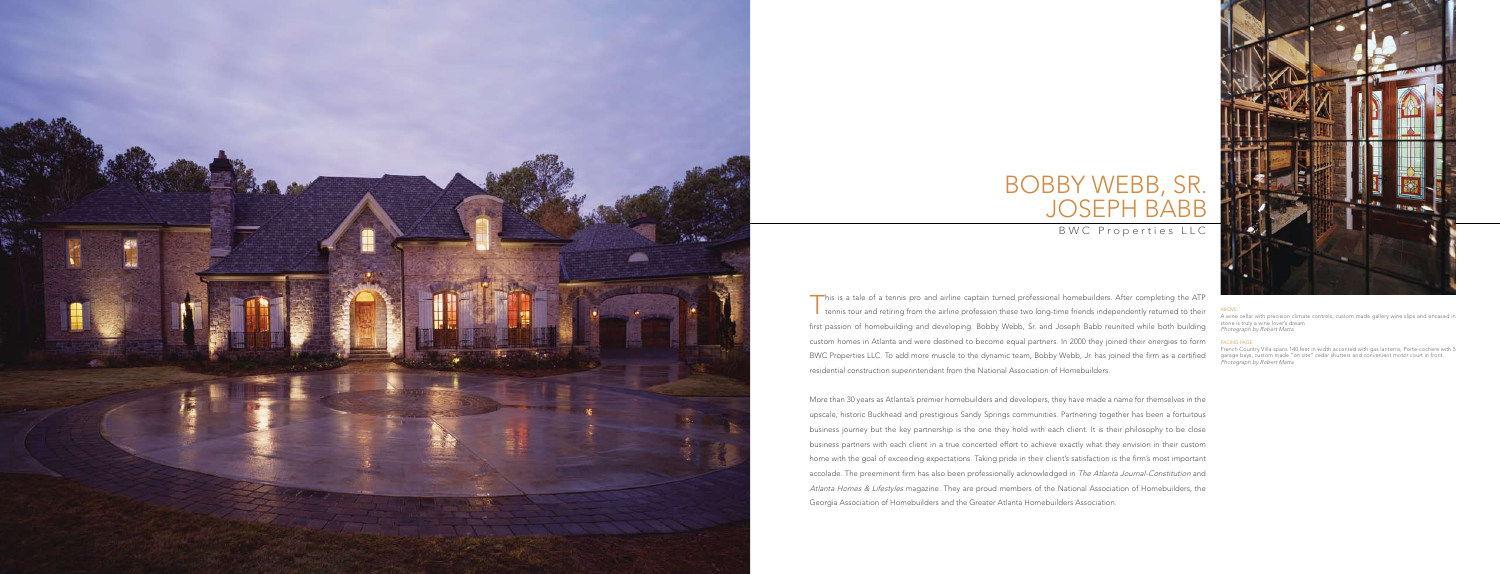This is a tale of a tennis pro and airline captain turned professional homebuilders. After completing the ATP tennis tour and retiring from the airline profession these two long-time friends independently returned to their first passion of homebuilding and developing. Bobby Webb, Sr. and Joseph Babb reunited while both building custom homes in Atlanta and were destined to become equal partners. In 2000 they joined their energies to form BWC Properties LLC. To add more muscle to the dynamic team, Bobby Webb, Jr. has joined the firm as a certified residential construction superintendent from the National Association of Homebuilders.

ABOVE:<br>A wine cellar with precision climate controls, custom made gallery wine slips and encased in stone is truly a wine lover's dream. Photograph by Robert Matta



# JOSEPH BA Bobby Webb, Sr.

## B W C Properties LLC

More than 30 years as Atlanta's premier homebuilders and developers, they have made a name for themselves in the upscale, historic Buckhead and prestigious Sandy Springs communities. Partnering together has been a fortuitous business journey but the key partnership is the one they hold with each client. It is their philosophy to be close business partners with each client in a true concerted effort to achieve exactly what they envision in their custom home with the goal of exceeding expectations. Taking pride in their client's satisfaction is the firm's most important accolade. The preeminent firm has also been professionally acknowledged in The Atlanta Journal-Constitution and Atlanta Homes & Lifestyles magazine. They are proud members of the National Association of Homebuilders, the Georgia Association of Homebuilders and the Greater Atlanta Homebuilders Association.

#### FACING PAGE:

French Country Villa spans 140 feet in width accented with gas lanterns, Porte-cochere with 5 garage bays, custom made "on site" cedar shutters and convenient motor court in front. Photograph by Robert Matta

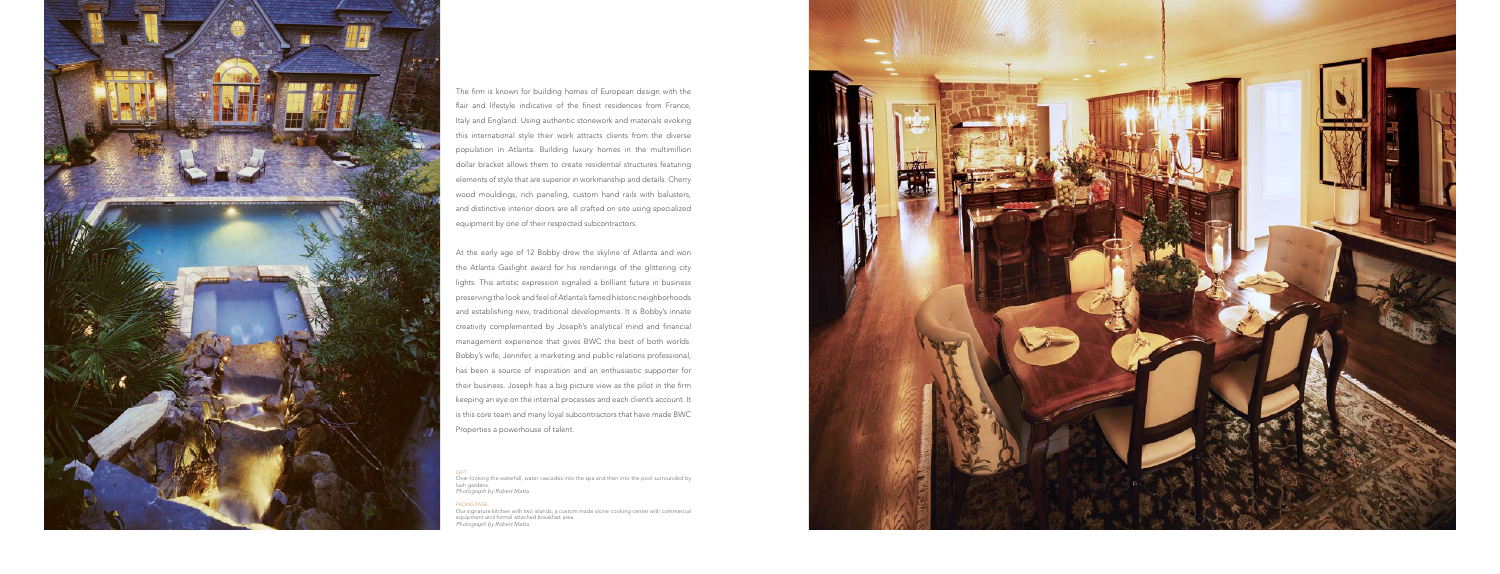

The firm is known for building homes of European design with the flair and lifestyle indicative of the finest residences from France, Italy and England. Using authentic stonework and materials evoking this international style their work attracts clients from the diverse population in Atlanta. Building luxury homes in the multimillion dollar bracket allows them to create residential structures featuring elements of style that are superior in workmanship and details. Cherry wood mouldings, rich paneling, custom hand rails with balusters, and distinctive interior doors are all crafted on site using specialized equipment by one of their respected subcontractors.

LEFT:<br>Over-looking the waterfall, water cascades into the spa and then into the pool surrounded by lush gardens. Photograph by Robert Matta

At the early age of 12 Bobby drew the skyline of Atlanta and won the Atlanta Gaslight award for his renderings of the glittering city lights. This artistic expression signaled a brilliant future in business preserving the look and feel of Atlanta's famed historic neighborhoods and establishing new, traditional developments. It is Bobby's innate creativity complemented by Joseph's analytical mind and financial management experience that gives BWC the best of both worlds. Bobby's wife, Jennifer, a marketing and public relations professional, has been a source of inspiration and an enthusiastic supporter for their business. Joseph has a big picture view as the pilot in the firm keeping an eye on the internal processes and each client's account. It is this core team and many loyal subcontractors that have made BWC Properties a powerhouse of talent.

#### FACING PAGE:

Our signature kitchen with two islands, a custom made stone cooking center with commercial equipment and formal attached breakfast area. Photograph by Robert Matta